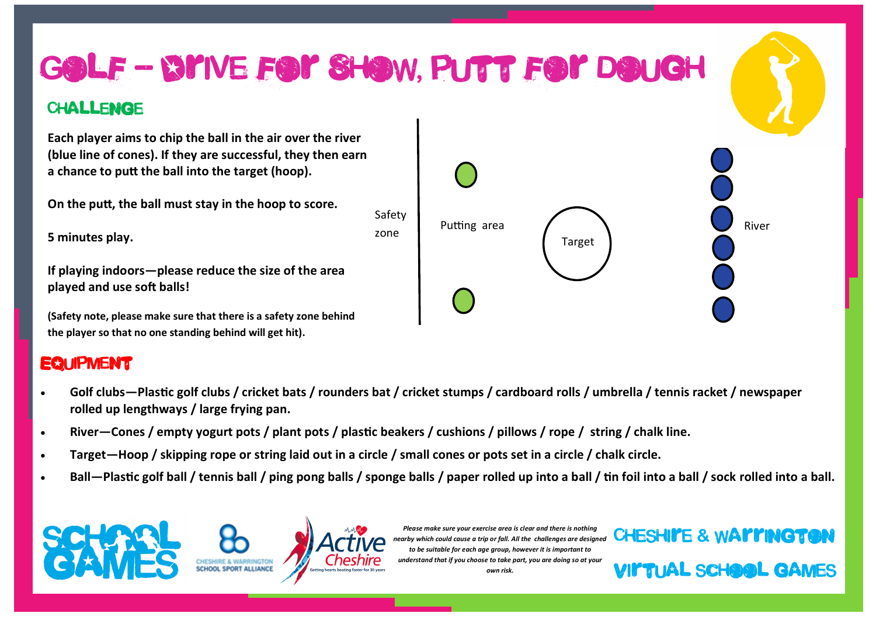

## **EQUIPMENT**

- **Golf clubs—Plastic golf clubs / cricket bats / rounders bat / cricket stumps / cardboard rolls / umbrella / tennis racket / newspaper rolled up lengthways / large frying pan.**
- **River—Cones / empty yogurt pots / plant pots / plastic beakers / cushions / pillows / rope / string / chalk line.**
- **Target—Hoop / skipping rope or string laid out in a circle / small cones or pots set in a circle / chalk circle.**
- **Ball—Plastic golf ball / tennis ball / ping pong balls / sponge balls / paper rolled up into a ball / tin foil into a ball / sock rolled into a ball.**



Virtual school games *Please make sure your exercise area is clear and there is nothing nearby which could cause a trip or fall. All the challenges are designed to be suitable for each age group, however it is important to understand that if you choose to take part, you are doing so at your own risk.*